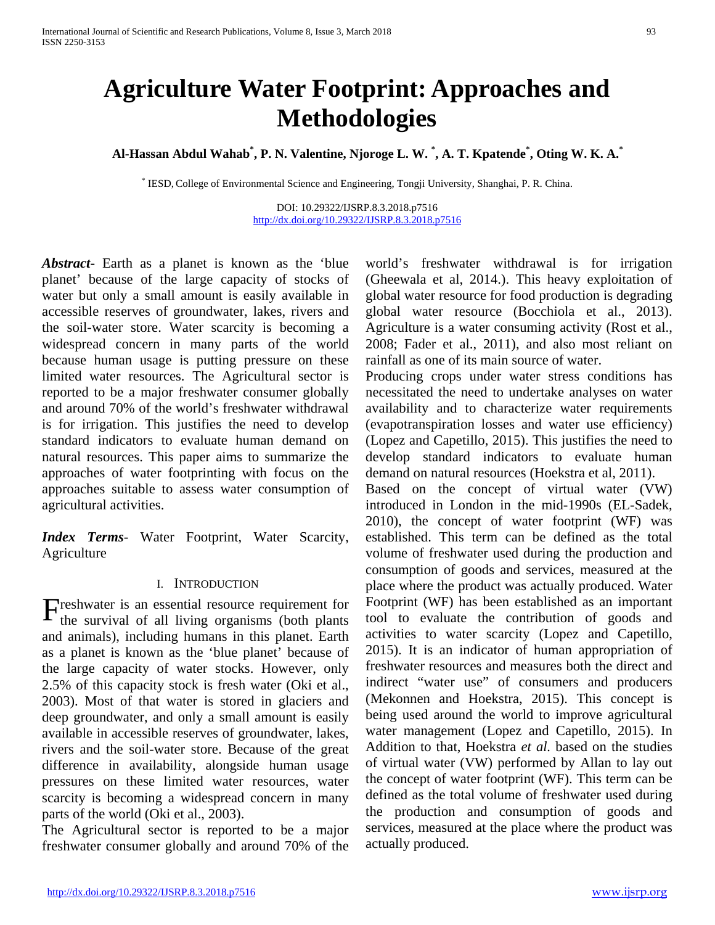# **Agriculture Water Footprint: Approaches and Methodologies**

**Al-Hassan Abdul Wahab\* , P. N. Valentine, Njoroge L. W. \* , A. T. Kpatende\* , Oting W. K. A. \***

\* IESD, College of Environmental Science and Engineering, Tongji University, Shanghai, P. R. China.

DOI: 10.29322/IJSRP.8.3.2018.p7516 <http://dx.doi.org/10.29322/IJSRP.8.3.2018.p7516>

*Abstract***-** Earth as a planet is known as the 'blue planet' because of the large capacity of stocks of water but only a small amount is easily available in accessible reserves of groundwater, lakes, rivers and the soil-water store. Water scarcity is becoming a widespread concern in many parts of the world because human usage is putting pressure on these limited water resources. The Agricultural sector is reported to be a major freshwater consumer globally and around 70% of the world's freshwater withdrawal is for irrigation. This justifies the need to develop standard indicators to evaluate human demand on natural resources. This paper aims to summarize the approaches of water footprinting with focus on the approaches suitable to assess water consumption of agricultural activities.

*Index Terms*- Water Footprint, Water Scarcity, Agriculture

#### I. INTRODUCTION

 $\Gamma$  reshwater is an essential resource requirement for the survival of all living organisms (both plants the survival of all living organisms (both plants and animals), including humans in this planet. Earth as a planet is known as the 'blue planet' because of the large capacity of water stocks. However, only 2.5% of this capacity stock is fresh water (Oki et al., 2003). Most of that water is stored in glaciers and deep groundwater, and only a small amount is easily available in accessible reserves of groundwater, lakes, rivers and the soil-water store. Because of the great difference in availability, alongside human usage pressures on these limited water resources, water scarcity is becoming a widespread concern in many parts of the world (Oki et al., 2003).

The Agricultural sector is reported to be a major freshwater consumer globally and around 70% of the world's freshwater withdrawal is for irrigation (Gheewala et al, 2014.). This heavy exploitation of global water resource for food production is degrading global water resource (Bocchiola et al., 2013). Agriculture is a water consuming activity (Rost et al., 2008; Fader et al., 2011), and also most reliant on rainfall as one of its main source of water.

Producing crops under water stress conditions has necessitated the need to undertake analyses on water availability and to characterize water requirements (evapotranspiration losses and water use efficiency) (Lopez and Capetillo, 2015). This justifies the need to develop standard indicators to evaluate human demand on natural resources (Hoekstra et al, 2011).

Based on the concept of virtual water (VW) introduced in London in the mid-1990s (EL-Sadek, 2010), the concept of water footprint (WF) was established. This term can be defined as the total volume of freshwater used during the production and consumption of goods and services, measured at the place where the product was actually produced. Water Footprint (WF) has been established as an important tool to evaluate the contribution of goods and activities to water scarcity (Lopez and Capetillo, 2015). It is an indicator of human appropriation of freshwater resources and measures both the direct and indirect "water use" of consumers and producers (Mekonnen and Hoekstra, 2015). This concept is being used around the world to improve agricultural water management (Lopez and Capetillo, 2015). In Addition to that, Hoekstra *et al.* based on the studies of virtual water (VW) performed by Allan to lay out the concept of water footprint (WF). This term can be defined as the total volume of freshwater used during the production and consumption of goods and services, measured at the place where the product was actually produced.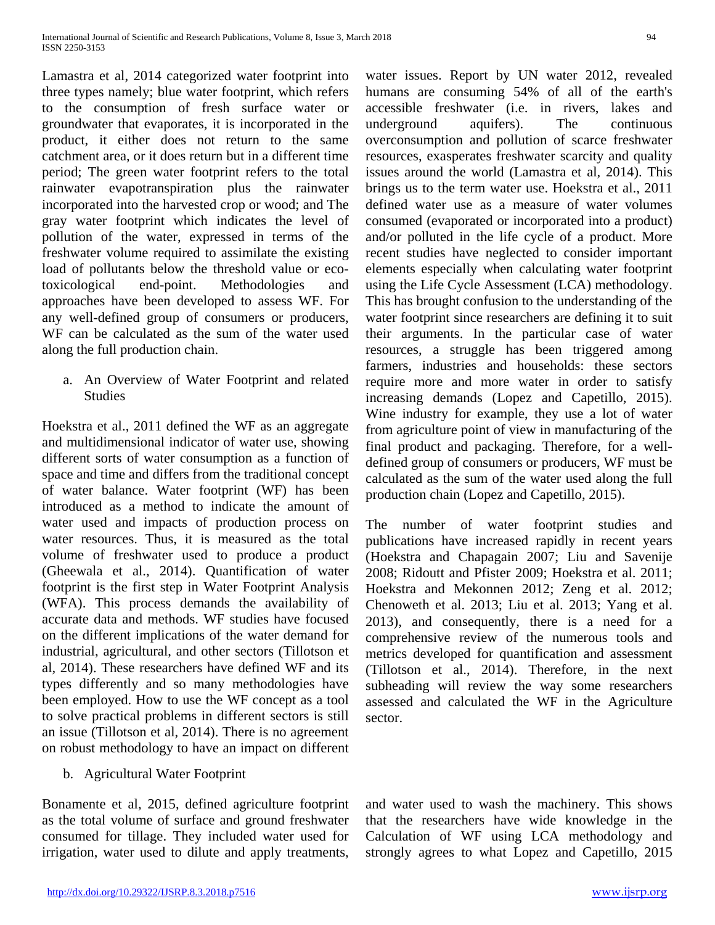Lamastra et al, 2014 categorized water footprint into three types namely; blue water footprint, which refers to the consumption of fresh surface water or groundwater that evaporates, it is incorporated in the product, it either does not return to the same catchment area, or it does return but in a different time period; The green water footprint refers to the total rainwater evapotranspiration plus the rainwater incorporated into the harvested crop or wood; and The gray water footprint which indicates the level of pollution of the water, expressed in terms of the freshwater volume required to assimilate the existing load of pollutants below the threshold value or ecotoxicological end-point. Methodologies and approaches have been developed to assess WF. For any well-defined group of consumers or producers, WF can be calculated as the sum of the water used along the full production chain.

a. An Overview of Water Footprint and related **Studies** 

Hoekstra et al., 2011 defined the WF as an aggregate and multidimensional indicator of water use, showing different sorts of water consumption as a function of space and time and differs from the traditional concept of water balance. Water footprint (WF) has been introduced as a method to indicate the amount of water used and impacts of production process on water resources. Thus, it is measured as the total volume of freshwater used to produce a product (Gheewala et al., 2014). Quantification of water footprint is the first step in Water Footprint Analysis (WFA). This process demands the availability of accurate data and methods. WF studies have focused on the different implications of the water demand for industrial, agricultural, and other sectors (Tillotson et al, 2014). These researchers have defined WF and its types differently and so many methodologies have been employed. How to use the WF concept as a tool to solve practical problems in different sectors is still an issue (Tillotson et al, 2014). There is no agreement on robust methodology to have an impact on different

b. Agricultural Water Footprint

Bonamente et al, 2015, defined agriculture footprint as the total volume of surface and ground freshwater consumed for tillage. They included water used for irrigation, water used to dilute and apply treatments, water issues. Report by UN water 2012, revealed humans are consuming 54% of all of the earth's accessible freshwater (i.e. in rivers, lakes and underground aquifers). The continuous overconsumption and pollution of scarce freshwater resources, exasperates freshwater scarcity and quality issues around the world (Lamastra et al, 2014). This brings us to the term water use. Hoekstra et al., 2011 defined water use as a measure of water volumes consumed (evaporated or incorporated into a product) and/or polluted in the life cycle of a product. More recent studies have neglected to consider important elements especially when calculating water footprint using the Life Cycle Assessment (LCA) methodology. This has brought confusion to the understanding of the water footprint since researchers are defining it to suit their arguments. In the particular case of water resources, a struggle has been triggered among farmers, industries and households: these sectors require more and more water in order to satisfy increasing demands (Lopez and Capetillo, 2015). Wine industry for example, they use a lot of water from agriculture point of view in manufacturing of the final product and packaging. Therefore, for a welldefined group of consumers or producers, WF must be calculated as the sum of the water used along the full production chain (Lopez and Capetillo, 2015).

The number of water footprint studies and publications have increased rapidly in recent years (Hoekstra and Chapagain 2007; Liu and Savenije 2008; Ridoutt and Pfister 2009; Hoekstra et al. 2011; Hoekstra and Mekonnen 2012; Zeng et al. 2012; Chenoweth et al. 2013; Liu et al. 2013; Yang et al. 2013), and consequently, there is a need for a comprehensive review of the numerous tools and metrics developed for quantification and assessment (Tillotson et al., 2014). Therefore, in the next subheading will review the way some researchers assessed and calculated the WF in the Agriculture sector.

and water used to wash the machinery. This shows that the researchers have wide knowledge in the Calculation of WF using LCA methodology and strongly agrees to what Lopez and Capetillo, 2015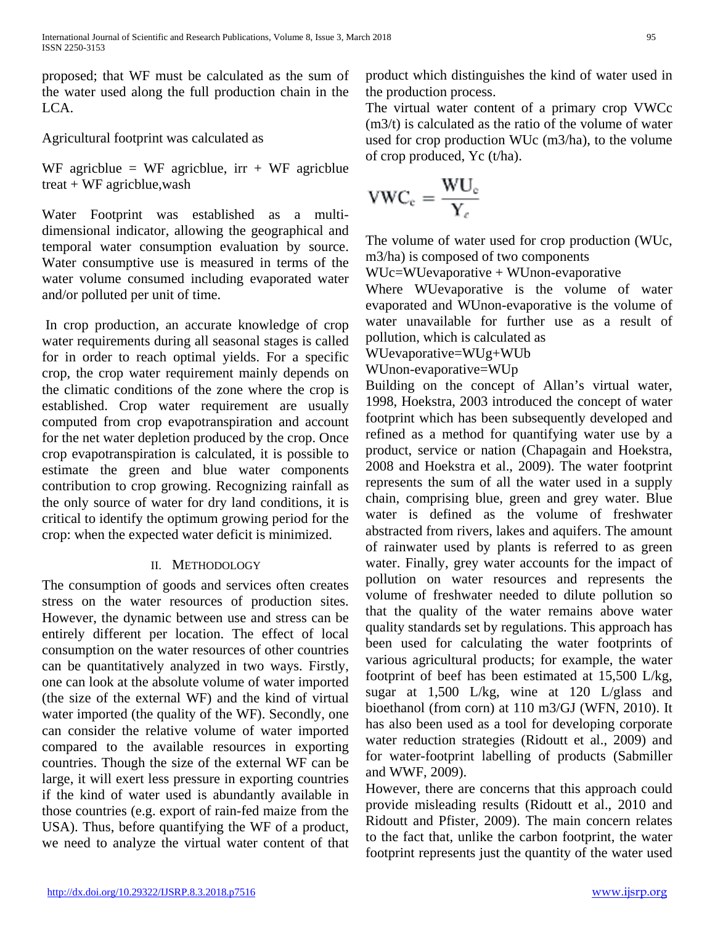proposed; that WF must be calculated as the sum of the water used along the full production chain in the LCA.

Agricultural footprint was calculated as

WF agricblue = WF agricblue,  $irr + WF$  agricblue treat + WF agricblue,wash

Water Footprint was established as a multidimensional indicator, allowing the geographical and temporal water consumption evaluation by source. Water consumptive use is measured in terms of the water volume consumed including evaporated water and/or polluted per unit of time.

In crop production, an accurate knowledge of crop water requirements during all seasonal stages is called for in order to reach optimal yields. For a specific crop, the crop water requirement mainly depends on the climatic conditions of the zone where the crop is established. Crop water requirement are usually computed from crop evapotranspiration and account for the net water depletion produced by the crop. Once crop evapotranspiration is calculated, it is possible to estimate the green and blue water components contribution to crop growing. Recognizing rainfall as the only source of water for dry land conditions, it is critical to identify the optimum growing period for the crop: when the expected water deficit is minimized.

# II. METHODOLOGY

The consumption of goods and services often creates stress on the water resources of production sites. However, the dynamic between use and stress can be entirely different per location. The effect of local consumption on the water resources of other countries can be quantitatively analyzed in two ways. Firstly, one can look at the absolute volume of water imported (the size of the external WF) and the kind of virtual water imported (the quality of the WF). Secondly, one can consider the relative volume of water imported compared to the available resources in exporting countries. Though the size of the external WF can be large, it will exert less pressure in exporting countries if the kind of water used is abundantly available in those countries (e.g. export of rain-fed maize from the USA). Thus, before quantifying the WF of a product, we need to analyze the virtual water content of that product which distinguishes the kind of water used in the production process.

The virtual water content of a primary crop VWCc (m3/t) is calculated as the ratio of the volume of water used for crop production WUc (m3/ha), to the volume of crop produced, Yc (t/ha).

$$
VWC_c = \frac{WU_c}{Y_c}
$$

The volume of water used for crop production (WUc, m3/ha) is composed of two components

WUc=WUevaporative + WUnon-evaporative

Where WUevaporative is the volume of water evaporated and WUnon-evaporative is the volume of water unavailable for further use as a result of pollution, which is calculated as

WUevaporative=WUg+WUb

WUnon-evaporative=WUp

Building on the concept of Allan's virtual water, 1998, Hoekstra, 2003 introduced the concept of water footprint which has been subsequently developed and refined as a method for quantifying water use by a product, service or nation (Chapagain and Hoekstra, 2008 and Hoekstra et al., 2009). The water footprint represents the sum of all the water used in a supply chain, comprising blue, green and grey water. Blue water is defined as the volume of freshwater abstracted from rivers, lakes and aquifers. The amount of rainwater used by plants is referred to as green water. Finally, grey water accounts for the impact of pollution on water resources and represents the volume of freshwater needed to dilute pollution so that the quality of the water remains above water quality standards set by regulations. This approach has been used for calculating the water footprints of various agricultural products; for example, the water footprint of beef has been estimated at 15,500 L/kg, sugar at 1,500 L/kg, wine at 120 L/glass and bioethanol (from corn) at 110 m3/GJ (WFN, 2010). It has also been used as a tool for developing corporate water reduction strategies (Ridoutt et al., 2009) and for water-footprint labelling of products (Sabmiller and WWF, 2009).

However, there are concerns that this approach could provide misleading results (Ridoutt et al., 2010 and Ridoutt and Pfister, 2009). The main concern relates to the fact that, unlike the carbon footprint, the water footprint represents just the quantity of the water used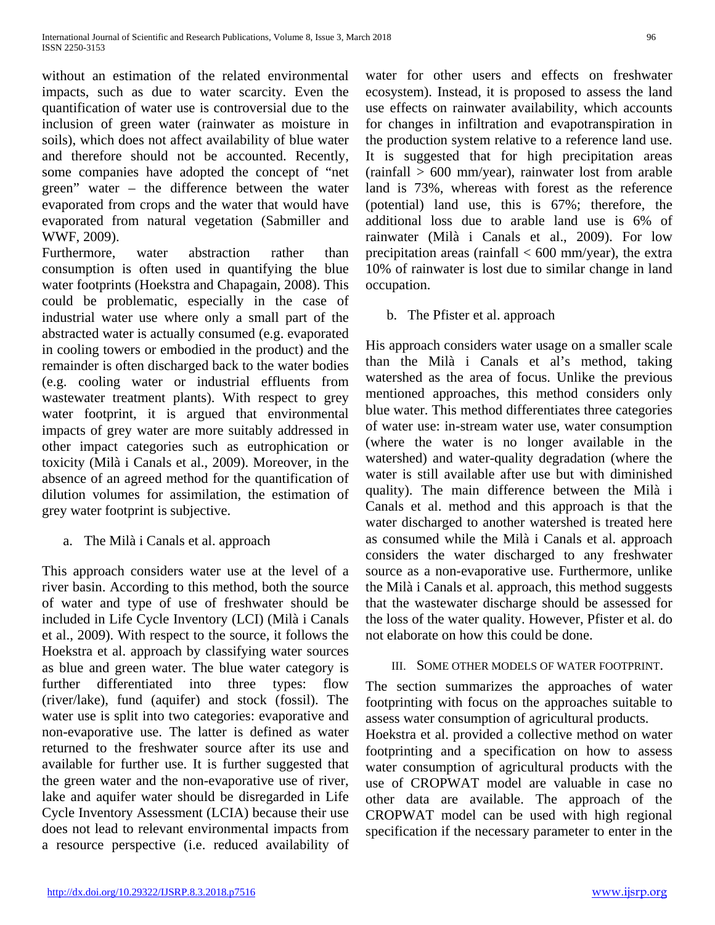without an estimation of the related environmental impacts, such as due to water scarcity. Even the quantification of water use is controversial due to the inclusion of green water (rainwater as moisture in soils), which does not affect availability of blue water and therefore should not be accounted. Recently, some companies have adopted the concept of "net green" water – the difference between the water evaporated from crops and the water that would have evaporated from natural vegetation (Sabmiller and WWF, 2009).

Furthermore, water abstraction rather than consumption is often used in quantifying the blue water footprints (Hoekstra and Chapagain, 2008). This could be problematic, especially in the case of industrial water use where only a small part of the abstracted water is actually consumed (e.g. evaporated in cooling towers or embodied in the product) and the remainder is often discharged back to the water bodies (e.g. cooling water or industrial effluents from wastewater treatment plants). With respect to grey water footprint, it is argued that environmental impacts of grey water are more suitably addressed in other impact categories such as eutrophication or toxicity (Milà i Canals et al., 2009). Moreover, in the absence of an agreed method for the quantification of dilution volumes for assimilation, the estimation of grey water footprint is subjective.

a. The Milà i Canals et al. approach

This approach considers water use at the level of a river basin. According to this method, both the source of water and type of use of freshwater should be included in Life Cycle Inventory (LCI) (Milà i Canals et al., 2009). With respect to the source, it follows the Hoekstra et al. approach by classifying water sources as blue and green water. The blue water category is further differentiated into three types: flow (river/lake), fund (aquifer) and stock (fossil). The water use is split into two categories: evaporative and non-evaporative use. The latter is defined as water returned to the freshwater source after its use and available for further use. It is further suggested that the green water and the non-evaporative use of river, lake and aquifer water should be disregarded in Life Cycle Inventory Assessment (LCIA) because their use does not lead to relevant environmental impacts from a resource perspective (i.e. reduced availability of water for other users and effects on freshwater ecosystem). Instead, it is proposed to assess the land use effects on rainwater availability, which accounts for changes in infiltration and evapotranspiration in the production system relative to a reference land use. It is suggested that for high precipitation areas (rainfall > 600 mm/year), rainwater lost from arable land is 73%, whereas with forest as the reference (potential) land use, this is 67%; therefore, the additional loss due to arable land use is 6% of rainwater (Milà i Canals et al., 2009). For low precipitation areas (rainfall  $< 600$  mm/year), the extra 10% of rainwater is lost due to similar change in land occupation.

b. The Pfister et al. approach

His approach considers water usage on a smaller scale than the Milà i Canals et al's method, taking watershed as the area of focus. Unlike the previous mentioned approaches, this method considers only blue water. This method differentiates three categories of water use: in-stream water use, water consumption (where the water is no longer available in the watershed) and water-quality degradation (where the water is still available after use but with diminished quality). The main difference between the Milà i Canals et al. method and this approach is that the water discharged to another watershed is treated here as consumed while the Milà i Canals et al. approach considers the water discharged to any freshwater source as a non-evaporative use. Furthermore, unlike the Milà i Canals et al. approach, this method suggests that the wastewater discharge should be assessed for the loss of the water quality. However, Pfister et al. do not elaborate on how this could be done.

### III. SOME OTHER MODELS OF WATER FOOTPRINT.

The section summarizes the approaches of water footprinting with focus on the approaches suitable to assess water consumption of agricultural products.

Hoekstra et al. provided a collective method on water footprinting and a specification on how to assess water consumption of agricultural products with the use of CROPWAT model are valuable in case no other data are available. The approach of the CROPWAT model can be used with high regional specification if the necessary parameter to enter in the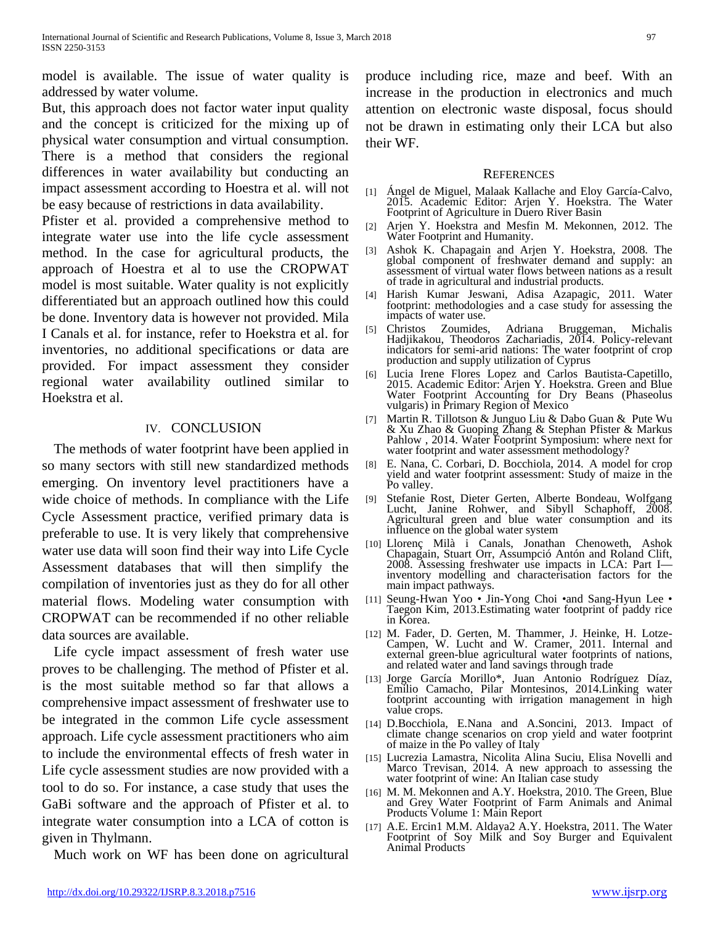model is available. The issue of water quality is addressed by water volume.

But, this approach does not factor water input quality and the concept is criticized for the mixing up of physical water consumption and virtual consumption. There is a method that considers the regional differences in water availability but conducting an impact assessment according to Hoestra et al. will not be easy because of restrictions in data availability.

Pfister et al. provided a comprehensive method to integrate water use into the life cycle assessment method. In the case for agricultural products, the approach of Hoestra et al to use the CROPWAT model is most suitable. Water quality is not explicitly differentiated but an approach outlined how this could be done. Inventory data is however not provided. Mila I Canals et al. for instance, refer to Hoekstra et al. for inventories, no additional specifications or data are provided. For impact assessment they consider regional water availability outlined similar to Hoekstra et al.

#### IV. CONCLUSION

The methods of water footprint have been applied in so many sectors with still new standardized methods emerging. On inventory level practitioners have a wide choice of methods. In compliance with the Life Cycle Assessment practice, verified primary data is preferable to use. It is very likely that comprehensive water use data will soon find their way into Life Cycle Assessment databases that will then simplify the compilation of inventories just as they do for all other material flows. Modeling water consumption with CROPWAT can be recommended if no other reliable data sources are available.

Life cycle impact assessment of fresh water use proves to be challenging. The method of Pfister et al. is the most suitable method so far that allows a comprehensive impact assessment of freshwater use to be integrated in the common Life cycle assessment approach. Life cycle assessment practitioners who aim to include the environmental effects of fresh water in Life cycle assessment studies are now provided with a tool to do so. For instance, a case study that uses the GaBi software and the approach of Pfister et al. to integrate water consumption into a LCA of cotton is given in Thylmann.

Much work on WF has been done on agricultural

produce including rice, maze and beef. With an increase in the production in electronics and much attention on electronic waste disposal, focus should not be drawn in estimating only their LCA but also their WF.

#### **REFERENCES**

- [1] Ángel de Miguel, Malaak Kallache and Eloy García-Calvo, 2015. Academic Editor: Arjen Y. Hoekstra. The Water Footprint of Agriculture in Duero River Basin
- [2] Arjen Y. Hoekstra and Mesfin M. Mekonnen, 2012. The Water Footprint and Humanity.
- [3] Ashok K. Chapagain and Arjen Y. Hoekstra, 2008. The assessment of virtual water flows between nations as a result of trade in agricultural and industrial products.
- [4] Harish Kumar Jeswani, Adisa Azapagic, 2011. Water footprint: methodologies and a case study for assessing the impacts of water use.
- [5] Christos Zoumides, Adriana Bruggeman, Michalis Hadjikakou, Theodoros Zachariadis, 2014. Policy-relevant indicators for semi-arid nations: The water footprint of crop production and supply utilization of Cyprus
- [6] Lucia Irene Flores Lopez and Carlos Bautista-Capetillo, 2015. Academic Editor: Arjen Y. Hoekstra. Green and Blue Water Footprint Accounting for Dry Beans (Phaseolus vulgaris) in Primary Region of Mexico
- [7] Martin R. Tillotson & Junguo Liu & Dabo Guan & Pute Wu & Xu Zhao & Guoping Zhang & Stephan Pfister & Markus Pahlow , 2014. Water Footprint Symposium: where next for water footprint and water assessment methodology?
- [8] E. Nana, C. Corbari, D. Bocchiola, 2014. A model for crop yield and water footprint assessment: Study of maize in the Po valley.
- [9] Stefanie Rost, Dieter Gerten, Alberte Bondeau, Wolfgang Lucht, Janine Rohwer, and Sibyll Schaphoff, 2008. Agricultural green and blue water consumption and its influence on the global water system
- [10] Llorenç Milà i Canals, Jonathan Chenoweth, Ashok Chapagain, Stuart Orr, Assumpció Antón and Roland Clift, 2008. Assessing freshwater use impacts in LCA: Part I— inventory modelling and characterisation factors for the inventory modelling and characterisation factors for the main impact pathways.
- [11] Seung-Hwan Yoo Jin-Yong Choi •and Sang-Hyun Lee Taegon Kim, 2013.Estimating water footprint of paddy rice in Korea.
- [12] M. Fader, D. Gerten, M. Thammer, J. Heinke, H. Lotze- Campen, W. Lucht and W. Cramer, 2011. Internal and external green-blue agricultural water footprints of nations, and related water and land savings through trade
- [13] Jorge García Morillo\*, Juan Antonio Rodríguez Díaz, Emilio Camacho, Pilar Montesinos, 2014.Linking water footprint accounting with irrigation management in high value crops.
- [14] D.Bocchiola, E.Nana and A.Soncini, 2013. Impact of climate change scenarios on crop yield and water footprint of maize in the Po valley of Italy
- [15] Lucrezia Lamastra, Nicolita Alina Suciu, Elisa Novelli and Marco Trevisan, 2014. A new approach to assessing the water footprint of wine: An Italian case study
- [16] M. M. Mekonnen and A.Y. Hoekstra, 2010. The Green, Blue and Grey Water Footprint of Farm Animals and Animal Products Volume 1: Main Report
- [17] A.E. Ercin1 M.M. Aldaya2 A.Y. Hoekstra, 2011. The Water Footprint of Soy Milk and Soy Burger and Equivalent Animal Products